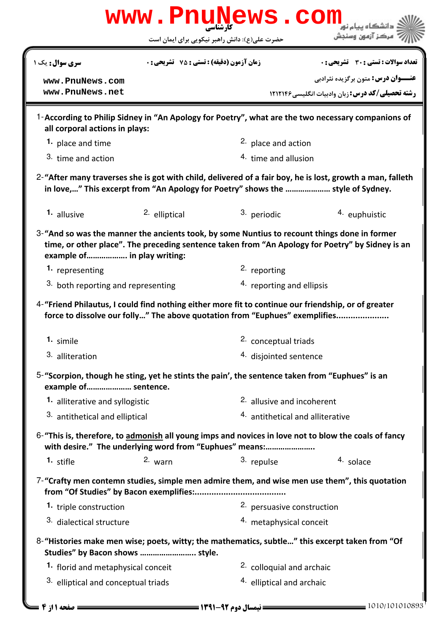| www.PnuNews.com                                                                                                                                                                                                                 |                                             |                                |                                                                                                |  |  |  |
|---------------------------------------------------------------------------------------------------------------------------------------------------------------------------------------------------------------------------------|---------------------------------------------|--------------------------------|------------------------------------------------------------------------------------------------|--|--|--|
| مركز آزمون وسنجش<br>حضرت علی(ع): دانش راهبر نیکویی برای ایمان است                                                                                                                                                               |                                             |                                |                                                                                                |  |  |  |
| سری سوال : یک ۱                                                                                                                                                                                                                 | زمان آزمون (دقیقه) : تستی : 75 ٪ تشریحی : 0 |                                | تعداد سوالات : تستي : 30 ٪ تشريحي : 0                                                          |  |  |  |
| www.PnuNews.com                                                                                                                                                                                                                 |                                             |                                | <b>عنـــوان درس:</b> متون برگزیده نثرادبی                                                      |  |  |  |
| www.PnuNews.net                                                                                                                                                                                                                 |                                             |                                | <b>رشته تحصیلی/کد درس: زبان وادبیات انگلیسی ۱۲۱۲۱۴۶</b>                                        |  |  |  |
| 1-According to Philip Sidney in "An Apology for Poetry", what are the two necessary companions of<br>all corporal actions in plays:                                                                                             |                                             |                                |                                                                                                |  |  |  |
| 1. place and time                                                                                                                                                                                                               |                                             | <sup>2.</sup> place and action |                                                                                                |  |  |  |
| 3. time and action                                                                                                                                                                                                              |                                             | 4. time and allusion           |                                                                                                |  |  |  |
| 2-"After many traverses she is got with child, delivered of a fair boy, he is lost, growth a man, falleth<br>in love," This excerpt from "An Apology for Poetry" shows the  style of Sydney.                                    |                                             |                                |                                                                                                |  |  |  |
| 1. allusive                                                                                                                                                                                                                     | 2. elliptical                               | 3. periodic                    | <sup>4.</sup> euphuistic                                                                       |  |  |  |
| 3-"And so was the manner the ancients took, by some Nuntius to recount things done in former<br>time, or other place". The preceding sentence taken from "An Apology for Poetry" by Sidney is an<br>example of in play writing: |                                             |                                |                                                                                                |  |  |  |
| 1. representing                                                                                                                                                                                                                 |                                             | 2. reporting                   |                                                                                                |  |  |  |
| 3. both reporting and representing                                                                                                                                                                                              |                                             |                                | 4. reporting and ellipsis                                                                      |  |  |  |
| 4-"Friend Philautus, I could find nothing either more fit to continue our friendship, or of greater<br>force to dissolve our folly" The above quotation from "Euphues" exemplifies                                              |                                             |                                |                                                                                                |  |  |  |
| 1. simile                                                                                                                                                                                                                       |                                             |                                | 2. conceptual triads                                                                           |  |  |  |
| 3. alliteration                                                                                                                                                                                                                 |                                             | 4. disjointed sentence         |                                                                                                |  |  |  |
| 5-"Scorpion, though he sting, yet he stints the pain', the sentence taken from "Euphues" is an<br>example of sentence.                                                                                                          |                                             |                                |                                                                                                |  |  |  |
|                                                                                                                                                                                                                                 | 1. alliterative and syllogistic             |                                | 2. allusive and incoherent                                                                     |  |  |  |
| 3. antithetical and elliptical                                                                                                                                                                                                  |                                             |                                | <sup>4.</sup> antithetical and alliterative                                                    |  |  |  |
| 6-"This is, therefore, to admonish all young imps and novices in love not to blow the coals of fancy<br>with desire." The underlying word from "Euphues" means:                                                                 |                                             |                                |                                                                                                |  |  |  |
| $1.$ stifle                                                                                                                                                                                                                     | 2. warn                                     | 3. repulse                     | 4. solace                                                                                      |  |  |  |
| 7-"Crafty men contemn studies, simple men admire them, and wise men use them", this quotation                                                                                                                                   |                                             |                                |                                                                                                |  |  |  |
| 1. triple construction                                                                                                                                                                                                          |                                             | 2. persuasive construction     |                                                                                                |  |  |  |
| <sup>3</sup> dialectical structure                                                                                                                                                                                              |                                             | 4. metaphysical conceit        |                                                                                                |  |  |  |
| Studies" by Bacon shows  style.                                                                                                                                                                                                 |                                             |                                | 8-"Histories make men wise; poets, witty; the mathematics, subtle" this excerpt taken from "Of |  |  |  |
| 1. florid and metaphysical conceit                                                                                                                                                                                              |                                             |                                | <sup>2.</sup> colloquial and archaic                                                           |  |  |  |
| 3. elliptical and conceptual triads                                                                                                                                                                                             |                                             | 4. elliptical and archaic      |                                                                                                |  |  |  |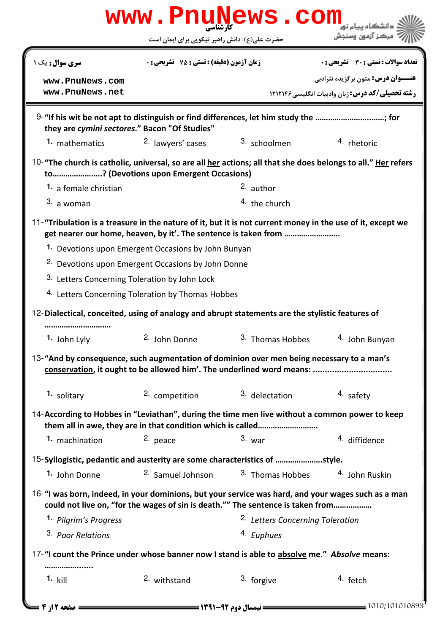|                                                                                                              | حضرت علی(ع): دانش راهبر نیکویی برای ایمان است                                        | www.PnuNews.com                             | ُ ' سرڪز آزمون وسنڊش                                    |
|--------------------------------------------------------------------------------------------------------------|--------------------------------------------------------------------------------------|---------------------------------------------|---------------------------------------------------------|
| <b>سری سوال :</b> یک ۱                                                                                       | <b>زمان آزمون (دقیقه) : تستی : 75 تشریحی : 0</b>                                     |                                             | <b>تعداد سوالات : تستي : 30 ٪ تشريحي : 0</b>            |
|                                                                                                              |                                                                                      |                                             | <b>عنـــوان درس:</b> متون برگزیده نثرادبی               |
| www.PnuNews.com<br>www.PnuNews.net                                                                           |                                                                                      |                                             | <b>رشته تحصیلی/کد درس: : مان وادسات انگلیسی ۱۲۱۲۱۴۶</b> |
|                                                                                                              |                                                                                      |                                             |                                                         |
| they are cymini sectores." Bacon "Of Studies"                                                                | 9-"If his wit be not apt to distinguish or find differences, let him study the ; for |                                             |                                                         |
| 1. mathematics                                                                                               | 2. lawyers' cases                                                                    | 3. schoolmen                                | 4. rhetoric                                             |
| 10-"The church is catholic, universal, so are all her actions; all that she does belongs to all." Her refers | to? (Devotions upon Emergent Occasions)                                              |                                             |                                                         |
| 1. a female christian                                                                                        |                                                                                      | $2.$ author                                 |                                                         |
| 3. a woman                                                                                                   |                                                                                      | 4. the church                               |                                                         |
| 11-"Tribulation is a treasure in the nature of it, but it is not current money in the use of it, except we   | get nearer our home, heaven, by it'. The sentence is taken from                      |                                             |                                                         |
|                                                                                                              | 1. Devotions upon Emergent Occasions by John Bunyan                                  |                                             |                                                         |
|                                                                                                              | <sup>2.</sup> Devotions upon Emergent Occasions by John Donne                        |                                             |                                                         |
|                                                                                                              | 3. Letters Concerning Toleration by John Lock                                        |                                             |                                                         |
|                                                                                                              | 4. Letters Concerning Toleration by Thomas Hobbes                                    |                                             |                                                         |
| 12-Dialectical, conceited, using of analogy and abrupt statements are the stylistic features of              |                                                                                      |                                             |                                                         |
| 1. John Lyly                                                                                                 | 2. John Donne                                                                        | 3. Thomas Hobbes                            | 4. John Bunyan                                          |
|                                                                                                              |                                                                                      |                                             |                                                         |
| 13-"And by consequence, such augmentation of dominion over men being necessary to a man's                    |                                                                                      |                                             |                                                         |
| 1. solitary                                                                                                  | 2. competition                                                                       | 3. delectation                              | 4. safety                                               |
| 14-According to Hobbes in "Leviathan", during the time men live without a common power to keep               | them all in awe, they are in that condition which is called                          |                                             |                                                         |
| 1. machination                                                                                               | 2. peace                                                                             | $3.$ war                                    | 4. diffidence                                           |
| 15-Syllogistic, pedantic and austerity are some characteristics of style.                                    |                                                                                      |                                             |                                                         |
| 1. John Donne                                                                                                | 2. Samuel Johnson                                                                    | 3. Thomas Hobbes                            | 4. John Ruskin                                          |
| 16-"I was born, indeed, in your dominions, but your service was hard, and your wages such as a man           | could not live on, "for the wages of sin is death."" The sentence is taken from      |                                             |                                                         |
| 1. Pilgrim's Progress                                                                                        |                                                                                      | <sup>2.</sup> Letters Concerning Toleration |                                                         |
| 3. Poor Relations                                                                                            |                                                                                      | <sup>4.</sup> Euphues                       |                                                         |
|                                                                                                              |                                                                                      |                                             |                                                         |
| 17-"I count the Prince under whose banner now I stand is able to absolve me." Absolve means:                 |                                                                                      |                                             |                                                         |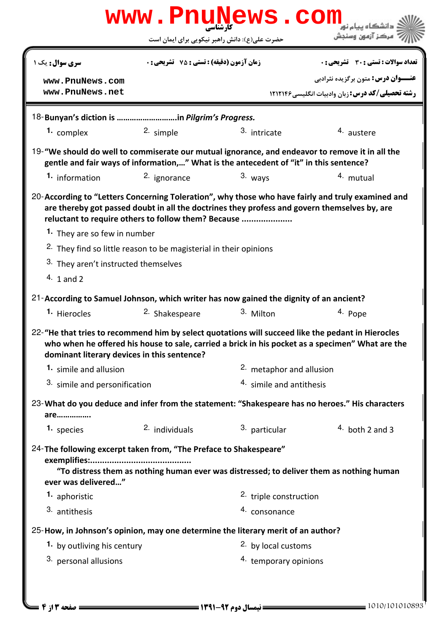| www.PnuNews.com<br>دانشگاه سام نو <mark>.</mark>                                                                                                                                          |                                                                              |                                                        |                                                                                                                                                                                                   |  |  |  |  |
|-------------------------------------------------------------------------------------------------------------------------------------------------------------------------------------------|------------------------------------------------------------------------------|--------------------------------------------------------|---------------------------------------------------------------------------------------------------------------------------------------------------------------------------------------------------|--|--|--|--|
|                                                                                                                                                                                           |                                                                              | حضرت علی(ع): دانش راهبر نیکویی برای ایمان است          | مركز آزمون وسنجش                                                                                                                                                                                  |  |  |  |  |
| <b>سری سوال :</b> یک ۱                                                                                                                                                                    | <b>زمان آزمون (دقیقه) : تستی : 75 ٪ تشریحی : 0</b>                           |                                                        | <b>تعداد سوالات : تستی : 30 ٪ تشریحی : 0</b>                                                                                                                                                      |  |  |  |  |
| www.PnuNews.com                                                                                                                                                                           |                                                                              |                                                        | <b>عنـــوان درس:</b> متون برگزیده نثرادبی                                                                                                                                                         |  |  |  |  |
| www.PnuNews.net                                                                                                                                                                           |                                                                              |                                                        | <b>رشته تحصیلی/کد درس: زبان وادبیات انگلیسی ۱۲۱۲۱۴۶</b>                                                                                                                                           |  |  |  |  |
|                                                                                                                                                                                           | 18-Bunyan's diction is in Pilgrim's Progress.                                |                                                        |                                                                                                                                                                                                   |  |  |  |  |
| 1. complex                                                                                                                                                                                | 2. simple                                                                    | 3. intricate                                           | 4. austere                                                                                                                                                                                        |  |  |  |  |
| 19-"We should do well to commiserate our mutual ignorance, and endeavor to remove it in all the<br>gentle and fair ways of information," What is the antecedent of "it" in this sentence? |                                                                              |                                                        |                                                                                                                                                                                                   |  |  |  |  |
| 1. information                                                                                                                                                                            | 2. ignorance                                                                 | $3.$ ways                                              | 4. mutual                                                                                                                                                                                         |  |  |  |  |
| reluctant to require others to follow them? Because<br>1. They are so few in number                                                                                                       |                                                                              |                                                        | 20-According to "Letters Concerning Toleration", why those who have fairly and truly examined and<br>are thereby got passed doubt in all the doctrines they profess and govern themselves by, are |  |  |  |  |
|                                                                                                                                                                                           | <sup>2.</sup> They find so little reason to be magisterial in their opinions |                                                        |                                                                                                                                                                                                   |  |  |  |  |
|                                                                                                                                                                                           | 3. They aren't instructed themselves                                         |                                                        |                                                                                                                                                                                                   |  |  |  |  |
| $4.1$ and 2                                                                                                                                                                               |                                                                              |                                                        |                                                                                                                                                                                                   |  |  |  |  |
| 21-According to Samuel Johnson, which writer has now gained the dignity of an ancient?                                                                                                    |                                                                              |                                                        |                                                                                                                                                                                                   |  |  |  |  |
| 1. Hierocles                                                                                                                                                                              | <sup>2.</sup> Shakespeare                                                    | 3. Milton                                              | 4. Pope                                                                                                                                                                                           |  |  |  |  |
| 22-"He that tries to recommend him by select quotations will succeed like the pedant in Hierocles<br>dominant literary devices in this sentence?                                          |                                                                              |                                                        | who when he offered his house to sale, carried a brick in his pocket as a specimen" What are the                                                                                                  |  |  |  |  |
| 1. simile and allusion                                                                                                                                                                    |                                                                              |                                                        | 2. metaphor and allusion                                                                                                                                                                          |  |  |  |  |
| 3. simile and personification                                                                                                                                                             |                                                                              |                                                        | 4. simile and antithesis                                                                                                                                                                          |  |  |  |  |
| are                                                                                                                                                                                       |                                                                              |                                                        | 23-What do you deduce and infer from the statement: "Shakespeare has no heroes." His characters                                                                                                   |  |  |  |  |
| 1. species                                                                                                                                                                                | 2. individuals                                                               | 3. particular                                          | 4. both 2 and 3                                                                                                                                                                                   |  |  |  |  |
| 24-The following excerpt taken from, "The Preface to Shakespeare"<br>ever was delivered"<br>1. aphoristic<br>3. antithesis                                                                |                                                                              | 2. triple construction<br>4. consonance                | "To distress them as nothing human ever was distressed; to deliver them as nothing human                                                                                                          |  |  |  |  |
|                                                                                                                                                                                           |                                                                              |                                                        |                                                                                                                                                                                                   |  |  |  |  |
| 25-How, in Johnson's opinion, may one determine the literary merit of an author?                                                                                                          |                                                                              |                                                        |                                                                                                                                                                                                   |  |  |  |  |
| 1. by outliving his century<br><sup>3.</sup> personal allusions                                                                                                                           |                                                                              | <sup>2</sup> by local customs<br>4. temporary opinions |                                                                                                                                                                                                   |  |  |  |  |
|                                                                                                                                                                                           |                                                                              |                                                        |                                                                                                                                                                                                   |  |  |  |  |
|                                                                                                                                                                                           |                                                                              |                                                        |                                                                                                                                                                                                   |  |  |  |  |